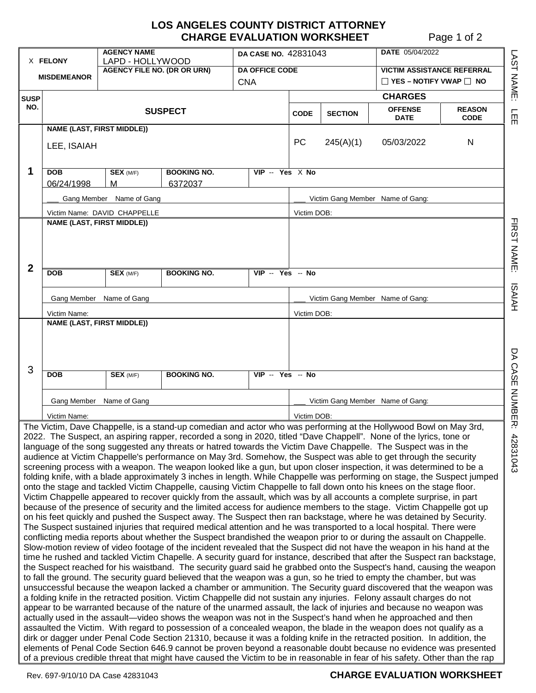## **LOS ANGELES COUNTY DISTRICT ATTORNEY CHARGE EVALUATION WORKSHEET** Page 1 of 2

L A S T

N A M E:

l<br>m

コヌのコ

N A M E:

ភ AIA H

D A

C A S E

N U M B E R:

| X FELONY                                                                                                                                                                                                                                                                                                                                                                                                                                                                                                                                                                                                                                                                                                                                                                                                                                                                                                                                                                                                                                                                                                                                                                                                                                                                                                                                                                                                                                                                                                                                                                                                                                                                                                                                                                                                                                                                                                                                                                                                                                                                                                                                                                                                                                                                                                                                                                                                                                                                                                                                                                                                                                                                                                                                                                                                                                                                                                                                                                                               |                                                   | <b>AGENCY NAME</b><br>LAPD - HOLLYWOOD       |                                     | DA CASE NO. 42831043  |                |                                                                         | <b>DATE</b> 05/04/2022           |   |  |  |
|--------------------------------------------------------------------------------------------------------------------------------------------------------------------------------------------------------------------------------------------------------------------------------------------------------------------------------------------------------------------------------------------------------------------------------------------------------------------------------------------------------------------------------------------------------------------------------------------------------------------------------------------------------------------------------------------------------------------------------------------------------------------------------------------------------------------------------------------------------------------------------------------------------------------------------------------------------------------------------------------------------------------------------------------------------------------------------------------------------------------------------------------------------------------------------------------------------------------------------------------------------------------------------------------------------------------------------------------------------------------------------------------------------------------------------------------------------------------------------------------------------------------------------------------------------------------------------------------------------------------------------------------------------------------------------------------------------------------------------------------------------------------------------------------------------------------------------------------------------------------------------------------------------------------------------------------------------------------------------------------------------------------------------------------------------------------------------------------------------------------------------------------------------------------------------------------------------------------------------------------------------------------------------------------------------------------------------------------------------------------------------------------------------------------------------------------------------------------------------------------------------------------------------------------------------------------------------------------------------------------------------------------------------------------------------------------------------------------------------------------------------------------------------------------------------------------------------------------------------------------------------------------------------------------------------------------------------------------------------------------------------|---------------------------------------------------|----------------------------------------------|-------------------------------------|-----------------------|----------------|-------------------------------------------------------------------------|----------------------------------|---|--|--|
| <b>MISDEMEANOR</b>                                                                                                                                                                                                                                                                                                                                                                                                                                                                                                                                                                                                                                                                                                                                                                                                                                                                                                                                                                                                                                                                                                                                                                                                                                                                                                                                                                                                                                                                                                                                                                                                                                                                                                                                                                                                                                                                                                                                                                                                                                                                                                                                                                                                                                                                                                                                                                                                                                                                                                                                                                                                                                                                                                                                                                                                                                                                                                                                                                                     |                                                   | <b>AGENCY FILE NO. (DR OR URN)</b>           | <b>DA OFFICE CODE</b><br><b>CNA</b> |                       |                | <b>VICTIM ASSISTANCE REFERRAL</b><br>$\Box$ YES – NOTIFY VWAP $\Box$ NO |                                  |   |  |  |
|                                                                                                                                                                                                                                                                                                                                                                                                                                                                                                                                                                                                                                                                                                                                                                                                                                                                                                                                                                                                                                                                                                                                                                                                                                                                                                                                                                                                                                                                                                                                                                                                                                                                                                                                                                                                                                                                                                                                                                                                                                                                                                                                                                                                                                                                                                                                                                                                                                                                                                                                                                                                                                                                                                                                                                                                                                                                                                                                                                                                        |                                                   |                                              |                                     |                       | <b>CHARGES</b> |                                                                         |                                  |   |  |  |
| <b>SUSP</b><br>NO.                                                                                                                                                                                                                                                                                                                                                                                                                                                                                                                                                                                                                                                                                                                                                                                                                                                                                                                                                                                                                                                                                                                                                                                                                                                                                                                                                                                                                                                                                                                                                                                                                                                                                                                                                                                                                                                                                                                                                                                                                                                                                                                                                                                                                                                                                                                                                                                                                                                                                                                                                                                                                                                                                                                                                                                                                                                                                                                                                                                     | <b>SUSPECT</b>                                    |                                              |                                     | <b>CODE</b>           | <b>SECTION</b> | <b>OFFENSE</b><br><b>DATE</b>                                           | <b>REASON</b><br><b>CODE</b>     |   |  |  |
|                                                                                                                                                                                                                                                                                                                                                                                                                                                                                                                                                                                                                                                                                                                                                                                                                                                                                                                                                                                                                                                                                                                                                                                                                                                                                                                                                                                                                                                                                                                                                                                                                                                                                                                                                                                                                                                                                                                                                                                                                                                                                                                                                                                                                                                                                                                                                                                                                                                                                                                                                                                                                                                                                                                                                                                                                                                                                                                                                                                                        | <b>NAME (LAST, FIRST MIDDLE))</b>                 |                                              |                                     |                       |                |                                                                         |                                  |   |  |  |
|                                                                                                                                                                                                                                                                                                                                                                                                                                                                                                                                                                                                                                                                                                                                                                                                                                                                                                                                                                                                                                                                                                                                                                                                                                                                                                                                                                                                                                                                                                                                                                                                                                                                                                                                                                                                                                                                                                                                                                                                                                                                                                                                                                                                                                                                                                                                                                                                                                                                                                                                                                                                                                                                                                                                                                                                                                                                                                                                                                                                        | LEE, ISAIAH                                       |                                              |                                     |                       |                | 245(A)(1)                                                               | 05/03/2022                       | N |  |  |
| 1                                                                                                                                                                                                                                                                                                                                                                                                                                                                                                                                                                                                                                                                                                                                                                                                                                                                                                                                                                                                                                                                                                                                                                                                                                                                                                                                                                                                                                                                                                                                                                                                                                                                                                                                                                                                                                                                                                                                                                                                                                                                                                                                                                                                                                                                                                                                                                                                                                                                                                                                                                                                                                                                                                                                                                                                                                                                                                                                                                                                      | DOB                                               | <b>SEX (M/F)</b>                             | <b>BOOKING NO.</b>                  | $VIP - Yes \times No$ |                |                                                                         |                                  |   |  |  |
|                                                                                                                                                                                                                                                                                                                                                                                                                                                                                                                                                                                                                                                                                                                                                                                                                                                                                                                                                                                                                                                                                                                                                                                                                                                                                                                                                                                                                                                                                                                                                                                                                                                                                                                                                                                                                                                                                                                                                                                                                                                                                                                                                                                                                                                                                                                                                                                                                                                                                                                                                                                                                                                                                                                                                                                                                                                                                                                                                                                                        | 06/24/1998                                        | м                                            | 6372037                             |                       |                |                                                                         |                                  |   |  |  |
|                                                                                                                                                                                                                                                                                                                                                                                                                                                                                                                                                                                                                                                                                                                                                                                                                                                                                                                                                                                                                                                                                                                                                                                                                                                                                                                                                                                                                                                                                                                                                                                                                                                                                                                                                                                                                                                                                                                                                                                                                                                                                                                                                                                                                                                                                                                                                                                                                                                                                                                                                                                                                                                                                                                                                                                                                                                                                                                                                                                                        | Gang Member Name of Gang                          |                                              |                                     |                       |                | Victim Gang Member Name of Gang:                                        |                                  |   |  |  |
|                                                                                                                                                                                                                                                                                                                                                                                                                                                                                                                                                                                                                                                                                                                                                                                                                                                                                                                                                                                                                                                                                                                                                                                                                                                                                                                                                                                                                                                                                                                                                                                                                                                                                                                                                                                                                                                                                                                                                                                                                                                                                                                                                                                                                                                                                                                                                                                                                                                                                                                                                                                                                                                                                                                                                                                                                                                                                                                                                                                                        | Victim Name: DAVID CHAPPELLE                      |                                              |                                     |                       |                | Victim DOB:                                                             |                                  |   |  |  |
|                                                                                                                                                                                                                                                                                                                                                                                                                                                                                                                                                                                                                                                                                                                                                                                                                                                                                                                                                                                                                                                                                                                                                                                                                                                                                                                                                                                                                                                                                                                                                                                                                                                                                                                                                                                                                                                                                                                                                                                                                                                                                                                                                                                                                                                                                                                                                                                                                                                                                                                                                                                                                                                                                                                                                                                                                                                                                                                                                                                                        | <b>NAME (LAST, FIRST MIDDLE))</b>                 |                                              |                                     |                       |                |                                                                         |                                  |   |  |  |
| $\overline{2}$                                                                                                                                                                                                                                                                                                                                                                                                                                                                                                                                                                                                                                                                                                                                                                                                                                                                                                                                                                                                                                                                                                                                                                                                                                                                                                                                                                                                                                                                                                                                                                                                                                                                                                                                                                                                                                                                                                                                                                                                                                                                                                                                                                                                                                                                                                                                                                                                                                                                                                                                                                                                                                                                                                                                                                                                                                                                                                                                                                                         | <b>DOB</b>                                        | <b>SEX (M/F)</b>                             | <b>BOOKING NO.</b>                  | $VIP - Yes - No$      |                |                                                                         |                                  |   |  |  |
|                                                                                                                                                                                                                                                                                                                                                                                                                                                                                                                                                                                                                                                                                                                                                                                                                                                                                                                                                                                                                                                                                                                                                                                                                                                                                                                                                                                                                                                                                                                                                                                                                                                                                                                                                                                                                                                                                                                                                                                                                                                                                                                                                                                                                                                                                                                                                                                                                                                                                                                                                                                                                                                                                                                                                                                                                                                                                                                                                                                                        |                                                   |                                              |                                     |                       |                |                                                                         |                                  |   |  |  |
|                                                                                                                                                                                                                                                                                                                                                                                                                                                                                                                                                                                                                                                                                                                                                                                                                                                                                                                                                                                                                                                                                                                                                                                                                                                                                                                                                                                                                                                                                                                                                                                                                                                                                                                                                                                                                                                                                                                                                                                                                                                                                                                                                                                                                                                                                                                                                                                                                                                                                                                                                                                                                                                                                                                                                                                                                                                                                                                                                                                                        | Gang Member Name of Gang                          |                                              |                                     |                       |                | Victim Gang Member Name of Gang:                                        |                                  |   |  |  |
|                                                                                                                                                                                                                                                                                                                                                                                                                                                                                                                                                                                                                                                                                                                                                                                                                                                                                                                                                                                                                                                                                                                                                                                                                                                                                                                                                                                                                                                                                                                                                                                                                                                                                                                                                                                                                                                                                                                                                                                                                                                                                                                                                                                                                                                                                                                                                                                                                                                                                                                                                                                                                                                                                                                                                                                                                                                                                                                                                                                                        |                                                   |                                              |                                     |                       |                | Victim DOB:                                                             |                                  |   |  |  |
|                                                                                                                                                                                                                                                                                                                                                                                                                                                                                                                                                                                                                                                                                                                                                                                                                                                                                                                                                                                                                                                                                                                                                                                                                                                                                                                                                                                                                                                                                                                                                                                                                                                                                                                                                                                                                                                                                                                                                                                                                                                                                                                                                                                                                                                                                                                                                                                                                                                                                                                                                                                                                                                                                                                                                                                                                                                                                                                                                                                                        | Victim Name:<br><b>NAME (LAST, FIRST MIDDLE))</b> |                                              |                                     |                       |                |                                                                         |                                  |   |  |  |
| 3                                                                                                                                                                                                                                                                                                                                                                                                                                                                                                                                                                                                                                                                                                                                                                                                                                                                                                                                                                                                                                                                                                                                                                                                                                                                                                                                                                                                                                                                                                                                                                                                                                                                                                                                                                                                                                                                                                                                                                                                                                                                                                                                                                                                                                                                                                                                                                                                                                                                                                                                                                                                                                                                                                                                                                                                                                                                                                                                                                                                      | <b>DOB</b>                                        | <b>SEX</b> (M/F)<br>Gang Member Name of Gang | <b>BOOKING NO.</b>                  | VIP -- Yes -- No      |                |                                                                         | Victim Gang Member Name of Gang: |   |  |  |
|                                                                                                                                                                                                                                                                                                                                                                                                                                                                                                                                                                                                                                                                                                                                                                                                                                                                                                                                                                                                                                                                                                                                                                                                                                                                                                                                                                                                                                                                                                                                                                                                                                                                                                                                                                                                                                                                                                                                                                                                                                                                                                                                                                                                                                                                                                                                                                                                                                                                                                                                                                                                                                                                                                                                                                                                                                                                                                                                                                                                        | Victim Name:                                      |                                              |                                     |                       |                | Victim DOB:                                                             |                                  |   |  |  |
| The Victim, Dave Chappelle, is a stand-up comedian and actor who was performing at the Hollywood Bowl on May 3rd,<br>2022. The Suspect, an aspiring rapper, recorded a song in 2020, titled "Dave Chappell". None of the lyrics, tone or<br>language of the song suggested any threats or hatred towards the Victim Dave Chappelle. The Suspect was in the<br>audience at Victim Chappelle's performance on May 3rd. Somehow, the Suspect was able to get through the security<br>screening process with a weapon. The weapon looked like a gun, but upon closer inspection, it was determined to be a<br>folding knife, with a blade approximately 3 inches in length. While Chappelle was performing on stage, the Suspect jumped<br>onto the stage and tackled Victim Chappelle, causing Victim Chappelle to fall down onto his knees on the stage floor.<br>Victim Chappelle appeared to recover quickly from the assault, which was by all accounts a complete surprise, in part<br>because of the presence of security and the limited access for audience members to the stage. Victim Chappelle got up<br>on his feet quickly and pushed the Suspect away. The Suspect then ran backstage, where he was detained by Security.<br>The Suspect sustained injuries that required medical attention and he was transported to a local hospital. There were<br>conflicting media reports about whether the Suspect brandished the weapon prior to or during the assault on Chappelle.<br>Slow-motion review of video footage of the incident revealed that the Suspect did not have the weapon in his hand at the<br>time he rushed and tackled Victim Chapelle. A security guard for instance, described that after the Suspect ran backstage,<br>the Suspect reached for his waistband. The security guard said he grabbed onto the Suspect's hand, causing the weapon<br>to fall the ground. The security guard believed that the weapon was a gun, so he tried to empty the chamber, but was<br>unsuccessful because the weapon lacked a chamber or ammunition. The Security guard discovered that the weapon was<br>a folding knife in the retracted position. Victim Chappelle did not sustain any injuries. Felony assault charges do not<br>appear to be warranted because of the nature of the unarmed assault, the lack of injuries and because no weapon was<br>actually used in the assault—video shows the weapon was not in the Suspect's hand when he approached and then<br>assaulted the Victim. With regard to possession of a concealed weapon, the blade in the weapon does not qualify as a<br>dirk or dagger under Penal Code Section 21310, because it was a folding knife in the retracted position. In addition, the<br>elements of Penal Code Section 646.9 cannot be proven beyond a reasonable doubt because no evidence was presented<br>of a previous credible threat that might have caused the Victim to be in reasonable in fear of his safety. Other than the rap |                                                   |                                              |                                     |                       |                |                                                                         |                                  |   |  |  |
|                                                                                                                                                                                                                                                                                                                                                                                                                                                                                                                                                                                                                                                                                                                                                                                                                                                                                                                                                                                                                                                                                                                                                                                                                                                                                                                                                                                                                                                                                                                                                                                                                                                                                                                                                                                                                                                                                                                                                                                                                                                                                                                                                                                                                                                                                                                                                                                                                                                                                                                                                                                                                                                                                                                                                                                                                                                                                                                                                                                                        |                                                   |                                              |                                     |                       |                |                                                                         |                                  |   |  |  |

## Rev. 697-9/10/10 DA Case 42831043 **CHARGE EVALUATION WORKSHEET**